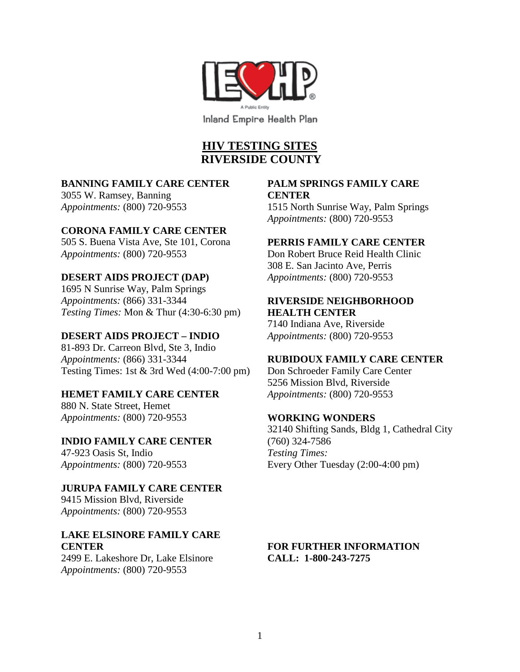

# **HIV TESTING SITES RIVERSIDE COUNTY**

#### **BANNING FAMILY CARE CENTER**

3055 W. Ramsey, Banning *Appointments:* (800) 720-9553

#### **CORONA FAMILY CARE CENTER**

505 S. Buena Vista Ave, Ste 101, Corona *Appointments:* (800) 720-9553

#### **DESERT AIDS PROJECT (DAP)**

1695 N Sunrise Way, Palm Springs *Appointments:* (866) 331-3344 *Testing Times:* Mon & Thur (4:30-6:30 pm)

#### **DESERT AIDS PROJECT – INDIO**

81-893 Dr. Carreon Blvd, Ste 3, Indio *Appointments:* (866) 331-3344 Testing Times: 1st & 3rd Wed (4:00-7:00 pm)

#### **HEMET FAMILY CARE CENTER**

880 N. State Street, Hemet *Appointments:* (800) 720-9553

## **INDIO FAMILY CARE CENTER**

47-923 Oasis St, Indio *Appointments:* (800) 720-9553

**JURUPA FAMILY CARE CENTER** 9415 Mission Blvd, Riverside *Appointments:* (800) 720-9553

#### **LAKE ELSINORE FAMILY CARE CENTER**

2499 E. Lakeshore Dr, Lake Elsinore *Appointments:* (800) 720-9553

### **PALM SPRINGS FAMILY CARE CENTER**

1515 North Sunrise Way, Palm Springs *Appointments:* (800) 720-9553

#### **PERRIS FAMILY CARE CENTER**

Don Robert Bruce Reid Health Clinic 308 E. San Jacinto Ave, Perris *Appointments:* (800) 720-9553

## **RIVERSIDE NEIGHBORHOOD HEALTH CENTER**

7140 Indiana Ave, Riverside *Appointments:* (800) 720-9553

## **RUBIDOUX FAMILY CARE CENTER**

Don Schroeder Family Care Center 5256 Mission Blvd, Riverside *Appointments:* (800) 720-9553

#### **WORKING WONDERS**

32140 Shifting Sands, Bldg 1, Cathedral City (760) 324-7586 *Testing Times:* Every Other Tuesday (2:00-4:00 pm)

## **FOR FURTHER INFORMATION CALL: 1-800-243-7275**